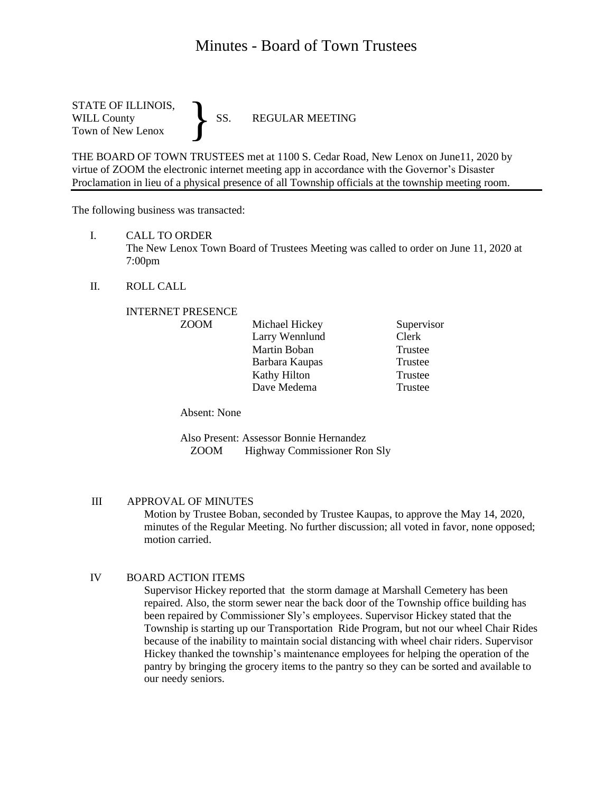# Minutes - Board of Town Trustees

STATE OF ILLINOIS,<br>WILL County SS. WILL County SS. REGULAR MEETING Town of New Lenox }

THE BOARD OF TOWN TRUSTEES met at 1100 S. Cedar Road, New Lenox on June11, 2020 by virtue of ZOOM the electronic internet meeting app in accordance with the Governor's Disaster Proclamation in lieu of a physical presence of all Township officials at the township meeting room.

The following business was transacted:

I. CALL TO ORDER

The New Lenox Town Board of Trustees Meeting was called to order on June 11, 2020 at 7:00pm

II. ROLL CALL

#### INTERNET PRESENCE

| <b>ZOOM</b> | Michael Hickey | Supervisor |
|-------------|----------------|------------|
|             | Larry Wennlund | Clerk      |
|             | Martin Boban   | Trustee    |
|             | Barbara Kaupas | Trustee    |
|             | Kathy Hilton   | Trustee    |
|             | Dave Medema    | Trustee    |

Absent: None

Also Present: Assessor Bonnie Hernandez ZOOM Highway Commissioner Ron Sly

## III APPROVAL OF MINUTES

Motion by Trustee Boban, seconded by Trustee Kaupas, to approve the May 14, 2020, minutes of the Regular Meeting. No further discussion; all voted in favor, none opposed; motion carried.

#### IV BOARD ACTION ITEMS

Supervisor Hickey reported that the storm damage at Marshall Cemetery has been repaired. Also, the storm sewer near the back door of the Township office building has been repaired by Commissioner Sly's employees. Supervisor Hickey stated that the Township is starting up our Transportation Ride Program, but not our wheel Chair Rides because of the inability to maintain social distancing with wheel chair riders. Supervisor Hickey thanked the township's maintenance employees for helping the operation of the pantry by bringing the grocery items to the pantry so they can be sorted and available to our needy seniors.